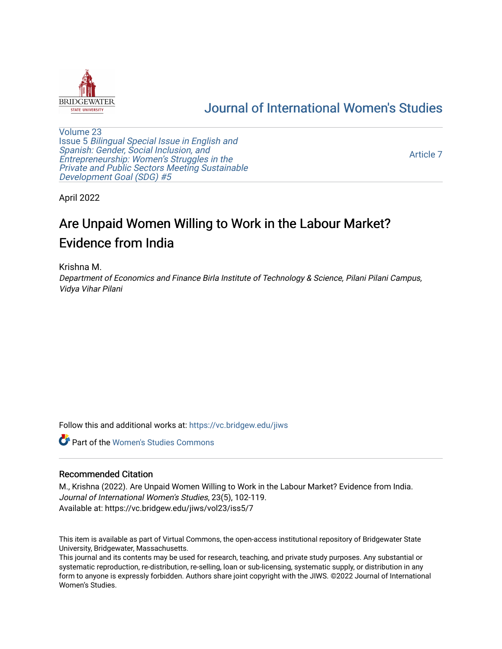

## [Journal of International Women's Studies](https://vc.bridgew.edu/jiws)

[Volume 23](https://vc.bridgew.edu/jiws/vol23) Issue 5 [Bilingual Special Issue in English and](https://vc.bridgew.edu/jiws/vol23/iss5)  [Spanish: Gender, Social Inclusion, and](https://vc.bridgew.edu/jiws/vol23/iss5)  [Entrepreneurship: Women's Struggles in the](https://vc.bridgew.edu/jiws/vol23/iss5)  [Private and Public Sectors Meeting Sustainable](https://vc.bridgew.edu/jiws/vol23/iss5) [Development Goal \(SDG\) #5](https://vc.bridgew.edu/jiws/vol23/iss5) 

[Article 7](https://vc.bridgew.edu/jiws/vol23/iss5/7) 

April 2022

# Are Unpaid Women Willing to Work in the Labour Market? Evidence from India

#### Krishna M.

Department of Economics and Finance Birla Institute of Technology & Science, Pilani Pilani Campus, Vidya Vihar Pilani

Follow this and additional works at: [https://vc.bridgew.edu/jiws](https://vc.bridgew.edu/jiws?utm_source=vc.bridgew.edu%2Fjiws%2Fvol23%2Fiss5%2F7&utm_medium=PDF&utm_campaign=PDFCoverPages)

**C** Part of the Women's Studies Commons

#### Recommended Citation

M., Krishna (2022). Are Unpaid Women Willing to Work in the Labour Market? Evidence from India. Journal of International Women's Studies, 23(5), 102-119. Available at: https://vc.bridgew.edu/jiws/vol23/iss5/7

This item is available as part of Virtual Commons, the open-access institutional repository of Bridgewater State University, Bridgewater, Massachusetts.

This journal and its contents may be used for research, teaching, and private study purposes. Any substantial or systematic reproduction, re-distribution, re-selling, loan or sub-licensing, systematic supply, or distribution in any form to anyone is expressly forbidden. Authors share joint copyright with the JIWS. ©2022 Journal of International Women's Studies.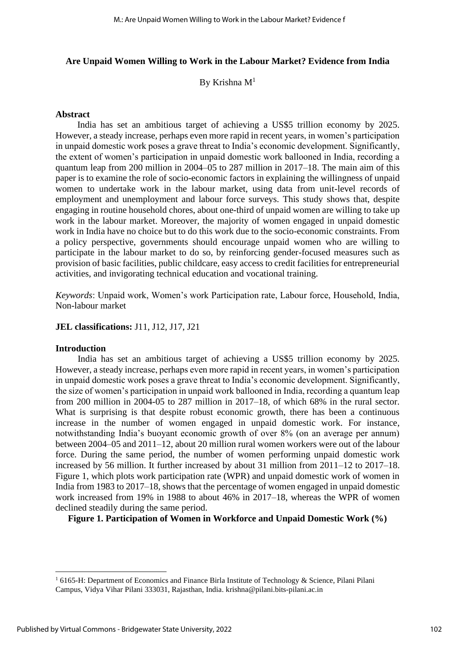#### **Are Unpaid Women Willing to Work in the Labour Market? Evidence from India**

By Krishna  $M<sup>1</sup>$ 

#### **Abstract**

India has set an ambitious target of achieving a US\$5 trillion economy by 2025. However, a steady increase, perhaps even more rapid in recent years, in women's participation in unpaid domestic work poses a grave threat to India's economic development. Significantly, the extent of women's participation in unpaid domestic work ballooned in India, recording a quantum leap from 200 million in 2004–05 to 287 million in 2017–18. The main aim of this paper is to examine the role of socio-economic factors in explaining the willingness of unpaid women to undertake work in the labour market, using data from unit-level records of employment and unemployment and labour force surveys. This study shows that, despite engaging in routine household chores, about one-third of unpaid women are willing to take up work in the labour market. Moreover, the majority of women engaged in unpaid domestic work in India have no choice but to do this work due to the socio-economic constraints. From a policy perspective, governments should encourage unpaid women who are willing to participate in the labour market to do so, by reinforcing gender-focused measures such as provision of basic facilities, public childcare, easy access to credit facilities for entrepreneurial activities, and invigorating technical education and vocational training.

*Keywords*: Unpaid work, Women's work Participation rate, Labour force, Household, India, Non-labour market

#### **JEL classifications:** J11, J12, J17, J21

#### **Introduction**

India has set an ambitious target of achieving a US\$5 trillion economy by 2025. However, a steady increase, perhaps even more rapid in recent years, in women's participation in unpaid domestic work poses a grave threat to India's economic development. Significantly, the size of women's participation in unpaid work ballooned in India, recording a quantum leap from 200 million in 2004-05 to 287 million in 2017–18, of which 68% in the rural sector. What is surprising is that despite robust economic growth, there has been a continuous increase in the number of women engaged in unpaid domestic work. For instance, notwithstanding India's buoyant economic growth of over 8% (on an average per annum) between 2004–05 and 2011–12, about 20 million rural women workers were out of the labour force. During the same period, the number of women performing unpaid domestic work increased by 56 million. It further increased by about 31 million from 2011–12 to 2017–18. Figure 1, which plots work participation rate (WPR) and unpaid domestic work of women in India from 1983 to 2017–18, shows that the percentage of women engaged in unpaid domestic work increased from 19% in 1988 to about 46% in 2017–18, whereas the WPR of women declined steadily during the same period.

**Figure 1. Participation of Women in Workforce and Unpaid Domestic Work (%)**

 $16165$ -H: Department of Economics and Finance Birla Institute of Technology & Science, Pilani Pilani Campus, Vidya Vihar Pilani 333031, Rajasthan, India. krishna@pilani.bits-pilani.ac.in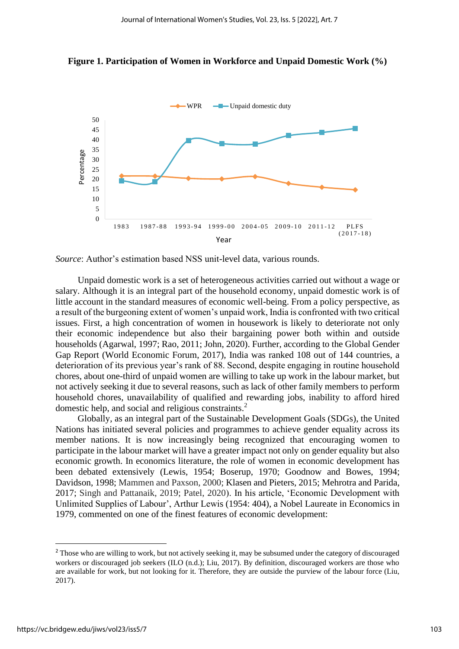



*Source*: Author's estimation based NSS unit-level data, various rounds.

Unpaid domestic work is a set of heterogeneous activities carried out without a wage or salary. Although it is an integral part of the household economy, unpaid domestic work is of little account in the standard measures of economic well-being. From a policy perspective, as a result of the burgeoning extent of women's unpaid work, India is confronted with two critical issues. First, a high concentration of women in housework is likely to deteriorate not only their economic independence but also their bargaining power both within and outside households (Agarwal, 1997; Rao, 2011; John, 2020). Further, according to the Global Gender Gap Report (World Economic Forum, 2017), India was ranked 108 out of 144 countries, a deterioration of its previous year's rank of 88. Second, despite engaging in routine household chores, about one-third of unpaid women are willing to take up work in the labour market, but not actively seeking it due to several reasons, such as lack of other family members to perform household chores, unavailability of qualified and rewarding jobs, inability to afford hired domestic help, and social and religious constraints.<sup>2</sup>

Globally, as an integral part of the Sustainable Development Goals (SDGs), the United Nations has initiated several policies and programmes to achieve gender equality across its member nations. It is now increasingly being recognized that encouraging women to participate in the labour market will have a greater impact not only on gender equality but also economic growth. In economics literature, the role of women in economic development has been debated extensively (Lewis, 1954; Boserup, 1970; Goodnow and Bowes, 1994; Davidson, 1998; Mammen and Paxson, 2000; Klasen and Pieters, 2015; Mehrotra and Parida, 2017; Singh and Pattanaik, 2019; Patel, 2020). In his article, 'Economic Development with Unlimited Supplies of Labour', Arthur Lewis (1954: 404), a Nobel Laureate in Economics in 1979, commented on one of the finest features of economic development:

<sup>&</sup>lt;sup>2</sup> Those who are willing to work, but not actively seeking it, may be subsumed under the category of discouraged workers or discouraged job seekers (ILO (n.d.); Liu, 2017). By definition, discouraged workers are those who are available for work, but not looking for it. Therefore, they are outside the purview of the labour force (Liu, 2017).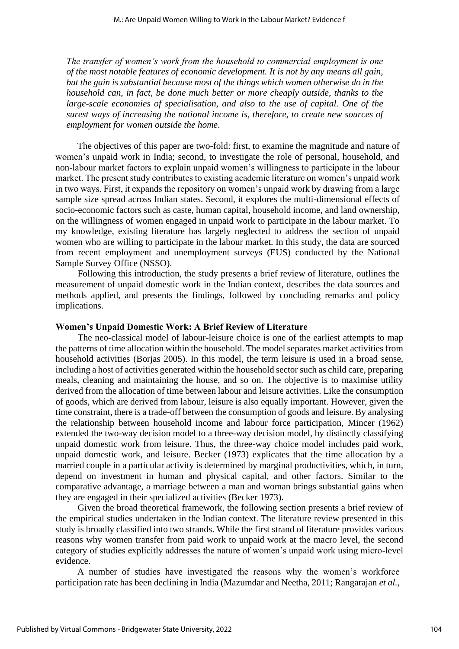*The transfer of women's work from the household to commercial employment is one of the most notable features of economic development. It is not by any means all gain, but the gain is substantial because most of the things which women otherwise do in the household can, in fact, be done much better or more cheaply outside, thanks to the large-scale economies of specialisation, and also to the use of capital. One of the surest ways of increasing the national income is, therefore, to create new sources of employment for women outside the home*.

The objectives of this paper are two-fold: first, to examine the magnitude and nature of women's unpaid work in India; second, to investigate the role of personal, household, and non-labour market factors to explain unpaid women's willingness to participate in the labour market. The present study contributes to existing academic literature on women's unpaid work in two ways. First, it expands the repository on women's unpaid work by drawing from a large sample size spread across Indian states. Second, it explores the multi-dimensional effects of socio-economic factors such as caste, human capital, household income, and land ownership, on the willingness of women engaged in unpaid work to participate in the labour market. To my knowledge, existing literature has largely neglected to address the section of unpaid women who are willing to participate in the labour market. In this study, the data are sourced from recent employment and unemployment surveys (EUS) conducted by the National Sample Survey Office (NSSO).

Following this introduction, the study presents a brief review of literature, outlines the measurement of unpaid domestic work in the Indian context, describes the data sources and methods applied, and presents the findings, followed by concluding remarks and policy implications.

#### **Women's Unpaid Domestic Work: A Brief Review of Literature**

The neo-classical model of labour-leisure choice is one of the earliest attempts to map the patterns of time allocation within the household. The model separates market activities from household activities (Borias 2005). In this model, the term leisure is used in a broad sense, including a host of activities generated within the household sector such as child care, preparing meals, cleaning and maintaining the house, and so on. The objective is to maximise utility derived from the allocation of time between labour and leisure activities. Like the consumption of goods, which are derived from labour, leisure is also equally important. However, given the time constraint, there is a trade-off between the consumption of goods and leisure. By analysing the relationship between household income and labour force participation, Mincer (1962) extended the two-way decision model to a three-way decision model, by distinctly classifying unpaid domestic work from leisure. Thus, the three-way choice model includes paid work, unpaid domestic work, and leisure. Becker (1973) explicates that the time allocation by a married couple in a particular activity is determined by marginal productivities, which, in turn, depend on investment in human and physical capital, and other factors. Similar to the comparative advantage, a marriage between a man and woman brings substantial gains when they are engaged in their specialized activities (Becker 1973).

Given the broad theoretical framework, the following section presents a brief review of the empirical studies undertaken in the Indian context. The literature review presented in this study is broadly classified into two strands. While the first strand of literature provides various reasons why women transfer from paid work to unpaid work at the macro level, the second category of studies explicitly addresses the nature of women's unpaid work using micro-level evidence.

A number of studies have investigated the reasons why the women's workforce participation rate has been declining in India (Mazumdar and Neetha, 2011; Rangarajan *et al.*,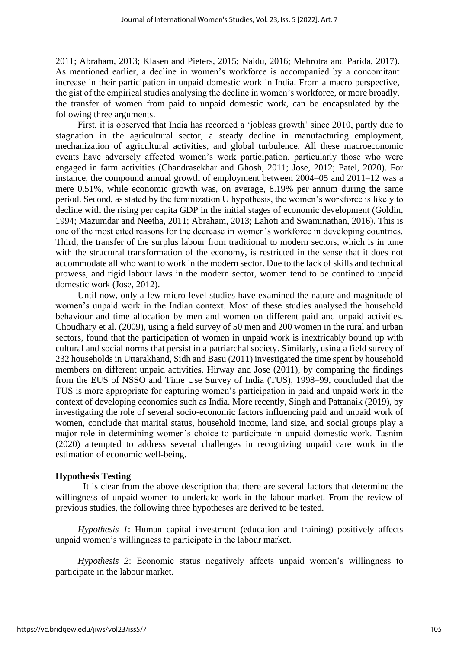2011; Abraham, 2013; Klasen and Pieters, 2015; Naidu, 2016; Mehrotra and Parida, 2017). As mentioned earlier, a decline in women's workforce is accompanied by a concomitant increase in their participation in unpaid domestic work in India. From a macro perspective, the gist of the empirical studies analysing the decline in women's workforce, or more broadly, the transfer of women from paid to unpaid domestic work, can be encapsulated by the following three arguments.

First, it is observed that India has recorded a 'jobless growth' since 2010, partly due to stagnation in the agricultural sector, a steady decline in manufacturing employment, mechanization of agricultural activities, and global turbulence. All these macroeconomic events have adversely affected women's work participation, particularly those who were engaged in farm activities (Chandrasekhar and Ghosh, 2011; Jose, 2012; Patel, 2020). For instance, the compound annual growth of employment between 2004–05 and 2011–12 was a mere 0.51%, while economic growth was, on average, 8.19% per annum during the same period. Second, as stated by the feminization U hypothesis, the women's workforce is likely to decline with the rising per capita GDP in the initial stages of economic development (Goldin, 1994; Mazumdar and Neetha, 2011; Abraham, 2013; Lahoti and Swaminathan, 2016). This is one of the most cited reasons for the decrease in women's workforce in developing countries. Third, the transfer of the surplus labour from traditional to modern sectors, which is in tune with the structural transformation of the economy, is restricted in the sense that it does not accommodate all who want to work in the modern sector. Due to the lack of skills and technical prowess, and rigid labour laws in the modern sector, women tend to be confined to unpaid domestic work (Jose, 2012).

Until now, only a few micro-level studies have examined the nature and magnitude of women's unpaid work in the Indian context. Most of these studies analysed the household behaviour and time allocation by men and women on different paid and unpaid activities. Choudhary et al. (2009), using a field survey of 50 men and 200 women in the rural and urban sectors, found that the participation of women in unpaid work is inextricably bound up with cultural and social norms that persist in a patriarchal society. Similarly, using a field survey of 232 households in Uttarakhand, Sidh and Basu (2011) investigated the time spent by household members on different unpaid activities. Hirway and Jose (2011), by comparing the findings from the EUS of NSSO and Time Use Survey of India (TUS), 1998–99, concluded that the TUS is more appropriate for capturing women's participation in paid and unpaid work in the context of developing economies such as India. More recently, Singh and Pattanaik (2019), by investigating the role of several socio-economic factors influencing paid and unpaid work of women, conclude that marital status, household income, land size, and social groups play a major role in determining women's choice to participate in unpaid domestic work. Tasnim (2020) attempted to address several challenges in recognizing unpaid care work in the estimation of economic well-being.

#### **Hypothesis Testing**

It is clear from the above description that there are several factors that determine the willingness of unpaid women to undertake work in the labour market. From the review of previous studies, the following three hypotheses are derived to be tested.

*Hypothesis 1*: Human capital investment (education and training) positively affects unpaid women's willingness to participate in the labour market.

*Hypothesis 2*: Economic status negatively affects unpaid women's willingness to participate in the labour market.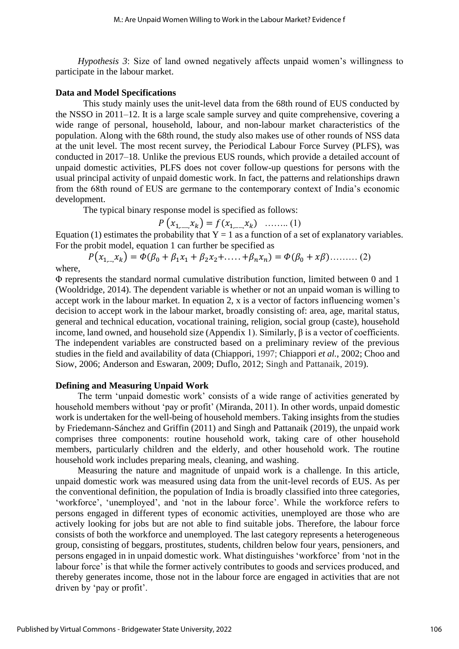*Hypothesis 3*: Size of land owned negatively affects unpaid women's willingness to participate in the labour market.

#### **Data and Model Specifications**

This study mainly uses the unit-level data from the 68th round of EUS conducted by the NSSO in 2011–12. It is a large scale sample survey and quite comprehensive, covering a wide range of personal, household, labour, and non-labour market characteristics of the population. Along with the 68th round, the study also makes use of other rounds of NSS data at the unit level. The most recent survey, the Periodical Labour Force Survey (PLFS), was conducted in 2017–18. Unlike the previous EUS rounds, which provide a detailed account of unpaid domestic activities, PLFS does not cover follow-up questions for persons with the usual principal activity of unpaid domestic work. In fact, the patterns and relationships drawn from the 68th round of EUS are germane to the contemporary context of India's economic development.

The typical binary response model is specified as follows:

$$
P(x_{1, \dots, x_k}) = f(x_{1, \dots, x_k}) \quad \dots \dots \dots (1)
$$

Equation (1) estimates the probability that  $Y = 1$  as a function of a set of explanatory variables. For the probit model, equation 1 can further be specified as

 $P(x_{1,...,x_k}) = \overline{\Phi(\beta_0 + \beta_1 x_1 + \beta_2 x_2 + \dots + \beta_n x_n)} = \Phi(\beta_0 + x\beta) \dots \dots \dots (2)$ 

where,

Φ represents the standard normal cumulative distribution function, limited between 0 and 1 (Wooldridge, 2014). The dependent variable is whether or not an unpaid woman is willing to accept work in the labour market. In equation 2, x is a vector of factors influencing women's decision to accept work in the labour market, broadly consisting of: area, age, marital status, general and technical education, vocational training, religion, social group (caste), household income, land owned, and household size (Appendix 1). Similarly,  $\beta$  is a vector of coefficients. The independent variables are constructed based on a preliminary review of the previous studies in the field and availability of data (Chiappori, 1997; Chiappori *et al.*, 2002; Choo and Siow, 2006; Anderson and Eswaran, 2009; Duflo, 2012; Singh and Pattanaik, 2019).

#### **Defining and Measuring Unpaid Work**

The term 'unpaid domestic work' consists of a wide range of activities generated by household members without 'pay or profit' (Miranda, 2011). In other words, unpaid domestic work is undertaken for the well-being of household members. Taking insights from the studies by Friedemann-Sánchez and Griffin (2011) and Singh and Pattanaik (2019), the unpaid work comprises three components: routine household work, taking care of other household members, particularly children and the elderly, and other household work. The routine household work includes preparing meals, cleaning, and washing.

Measuring the nature and magnitude of unpaid work is a challenge. In this article, unpaid domestic work was measured using data from the unit-level records of EUS. As per the conventional definition, the population of India is broadly classified into three categories, 'workforce', 'unemployed', and 'not in the labour force'. While the workforce refers to persons engaged in different types of economic activities, unemployed are those who are actively looking for jobs but are not able to find suitable jobs. Therefore, the labour force consists of both the workforce and unemployed. The last category represents a heterogeneous group, consisting of beggars, prostitutes, students, children below four years, pensioners, and persons engaged in in unpaid domestic work. What distinguishes 'workforce' from 'not in the labour force' is that while the former actively contributes to goods and services produced, and thereby generates income, those not in the labour force are engaged in activities that are not driven by 'pay or profit'.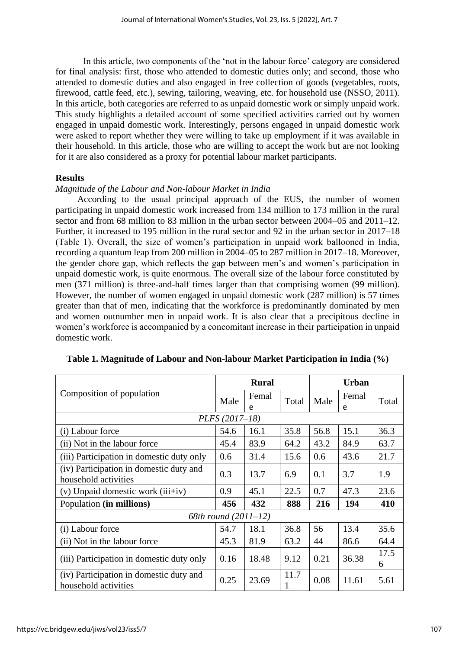In this article, two components of the 'not in the labour force' category are considered for final analysis: first, those who attended to domestic duties only; and second, those who attended to domestic duties and also engaged in free collection of goods (vegetables, roots, firewood, cattle feed, etc.), sewing, tailoring, weaving, etc. for household use (NSSO, 2011). In this article, both categories are referred to as unpaid domestic work or simply unpaid work. This study highlights a detailed account of some specified activities carried out by women engaged in unpaid domestic work. Interestingly, persons engaged in unpaid domestic work were asked to report whether they were willing to take up employment if it was available in their household. In this article, those who are willing to accept the work but are not looking for it are also considered as a proxy for potential labour market participants.

#### **Results**

#### *Magnitude of the Labour and Non-labour Market in India*

According to the usual principal approach of the EUS, the number of women participating in unpaid domestic work increased from 134 million to 173 million in the rural sector and from 68 million to 83 million in the urban sector between 2004–05 and 2011–12. Further, it increased to 195 million in the rural sector and 92 in the urban sector in 2017–18 (Table 1). Overall, the size of women's participation in unpaid work ballooned in India, recording a quantum leap from 200 million in 2004–05 to 287 million in 2017–18. Moreover, the gender chore gap, which reflects the gap between men's and women's participation in unpaid domestic work, is quite enormous. The overall size of the labour force constituted by men (371 million) is three-and-half times larger than that comprising women (99 million). However, the number of women engaged in unpaid domestic work (287 million) is 57 times greater than that of men, indicating that the workforce is predominantly dominated by men and women outnumber men in unpaid work. It is also clear that a precipitous decline in women's workforce is accompanied by a concomitant increase in their participation in unpaid domestic work.

|                                                                 | <b>Rural</b>         |            | <b>Urban</b> |      |            |           |
|-----------------------------------------------------------------|----------------------|------------|--------------|------|------------|-----------|
| Composition of population                                       |                      | Femal<br>e | Total        | Male | Femal<br>e | Total     |
|                                                                 | PLFS (2017-18)       |            |              |      |            |           |
| (i) Labour force                                                | 54.6                 | 16.1       | 35.8         | 56.8 | 15.1       | 36.3      |
| (ii) Not in the labour force                                    | 45.4                 | 83.9       | 64.2         | 43.2 | 84.9       | 63.7      |
| (iii) Participation in domestic duty only                       | 0.6                  | 31.4       | 15.6         | 0.6  | 43.6       | 21.7      |
| (iv) Participation in domestic duty and<br>household activities | 0.3                  | 13.7       | 6.9          | 0.1  | 3.7        | 1.9       |
| $(v)$ Unpaid domestic work $(iii+iv)$                           | 0.9                  | 45.1       | 22.5         | 0.7  | 47.3       | 23.6      |
| Population (in millions)                                        | 456                  | 432        | 888          | 216  | 194        | 410       |
|                                                                 | 68th round (2011-12) |            |              |      |            |           |
| (i) Labour force                                                | 54.7                 | 18.1       | 36.8         | 56   | 13.4       | 35.6      |
| (ii) Not in the labour force                                    | 45.3                 | 81.9       | 63.2         | 44   | 86.6       | 64.4      |
| (iii) Participation in domestic duty only                       | 0.16                 | 18.48      | 9.12         | 0.21 | 36.38      | 17.5<br>6 |
| (iv) Participation in domestic duty and<br>household activities | 0.25                 | 23.69      | 11.7         | 0.08 | 11.61      | 5.61      |

#### **Table 1. Magnitude of Labour and Non-labour Market Participation in India (%)**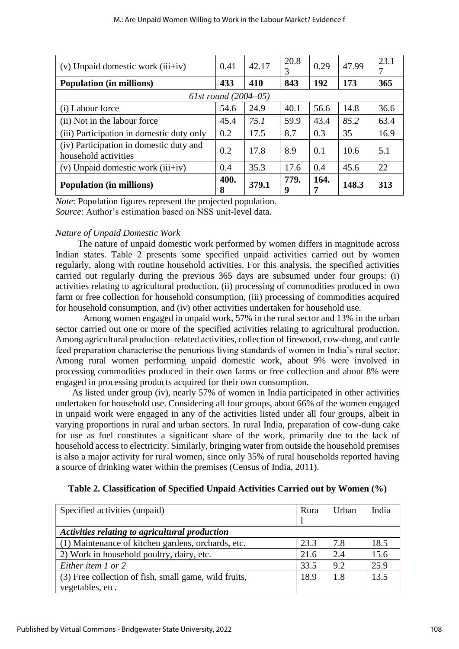| $(v)$ Unpaid domestic work $(iii+iv)$                           | 0.41      | 42.17 | 20.8<br>3 | 0.29      | 47.99 | 23.1 |
|-----------------------------------------------------------------|-----------|-------|-----------|-----------|-------|------|
| <b>Population (in millions)</b>                                 | 433       | 410   | 843       | 192       | 173   | 365  |
| 61st round $(2004 - 05)$                                        |           |       |           |           |       |      |
| (i) Labour force                                                | 54.6      | 24.9  | 40.1      | 56.6      | 14.8  | 36.6 |
| (ii) Not in the labour force                                    | 45.4      | 75.1  | 59.9      | 43.4      | 85.2  | 63.4 |
| (iii) Participation in domestic duty only                       | 0.2       | 17.5  | 8.7       | 0.3       | 35    | 16.9 |
| (iv) Participation in domestic duty and<br>household activities | 0.2       | 17.8  | 8.9       | 0.1       | 10.6  | 5.1  |
| $(v)$ Unpaid domestic work $(iii+iv)$                           | 0.4       | 35.3  | 17.6      | 0.4       | 45.6  | 22   |
| <b>Population (in millions)</b>                                 | 400.<br>8 | 379.1 | 779.<br>9 | 164.<br>7 | 148.3 | 313  |

*Note*: Population figures represent the projected population. *Source*: Author's estimation based on NSS unit-level data.

#### *Nature of Unpaid Domestic Work*

The nature of unpaid domestic work performed by women differs in magnitude across Indian states. Table 2 presents some specified unpaid activities carried out by women regularly, along with routine household activities. For this analysis, the specified activities carried out regularly during the previous 365 days are subsumed under four groups: (i) activities relating to agricultural production, (ii) processing of commodities produced in own farm or free collection for household consumption, (iii) processing of commodities acquired for household consumption, and (iv) other activities undertaken for household use.

Among women engaged in unpaid work, 57% in the rural sector and 13% in the urban sector carried out one or more of the specified activities relating to agricultural production. Among agricultural production–related activities, collection of firewood, cow-dung, and cattle feed preparation characterise the penurious living standards of women in India's rural sector. Among rural women performing unpaid domestic work, about 9% were involved in processing commodities produced in their own farms or free collection and about 8% were engaged in processing products acquired for their own consumption.

As listed under group (iv), nearly 57% of women in India participated in other activities undertaken for household use. Considering all four groups, about 66% of the women engaged in unpaid work were engaged in any of the activities listed under all four groups, albeit in varying proportions in rural and urban sectors. In rural India, preparation of cow-dung cake for use as fuel constitutes a significant share of the work, primarily due to the lack of household access to electricity. Similarly, bringing water from outside the household premises is also a major activity for rural women, since only 35% of rural households reported having a source of drinking water within the premises (Census of India, 2011).

| Specified activities (unpaid)                         | Rura | Urban | India |
|-------------------------------------------------------|------|-------|-------|
|                                                       |      |       |       |
| Activities relating to agricultural production        |      |       |       |
| (1) Maintenance of kitchen gardens, orchards, etc.    | 23.3 | 7.8   | 18.5  |
| 2) Work in household poultry, dairy, etc.             | 21.6 | 2.4   | 15.6  |
| Either item 1 or 2                                    | 33.5 | 9.2   | 25.9  |
| (3) Free collection of fish, small game, wild fruits, | 18.9 | -1.8  | 13.5  |
| vegetables, etc.                                      |      |       |       |

**Table 2. Classification of Specified Unpaid Activities Carried out by Women (%)**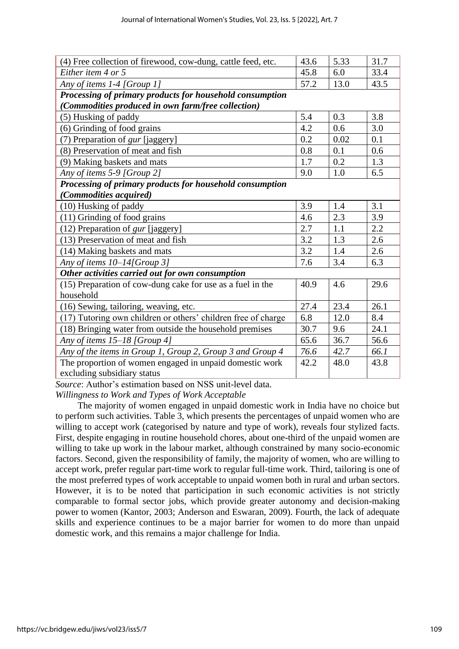| (4) Free collection of firewood, cow-dung, cattle feed, etc.  | 43.6 | 5.33 | 31.7 |
|---------------------------------------------------------------|------|------|------|
| Either item 4 or 5                                            | 45.8 | 6.0  | 33.4 |
| Any of items 1-4 [Group 1]                                    | 57.2 | 13.0 | 43.5 |
| Processing of primary products for household consumption      |      |      |      |
| (Commodities produced in own farm/free collection)            |      |      |      |
| (5) Husking of paddy                                          | 5.4  | 0.3  | 3.8  |
| (6) Grinding of food grains                                   | 4.2  | 0.6  | 3.0  |
| (7) Preparation of gur [jaggery]                              | 0.2  | 0.02 | 0.1  |
| (8) Preservation of meat and fish                             | 0.8  | 0.1  | 0.6  |
| (9) Making baskets and mats                                   | 1.7  | 0.2  | 1.3  |
| Any of items 5-9 [Group 2]                                    | 9.0  | 1.0  | 6.5  |
| Processing of primary products for household consumption      |      |      |      |
| (Commodities acquired)                                        |      |      |      |
| (10) Husking of paddy                                         | 3.9  | 1.4  | 3.1  |
| (11) Grinding of food grains                                  | 4.6  | 2.3  | 3.9  |
| (12) Preparation of <i>gur</i> [jaggery]                      | 2.7  | 1.1  | 2.2  |
| (13) Preservation of meat and fish                            | 3.2  | 1.3  | 2.6  |
| (14) Making baskets and mats                                  | 3.2  | 1.4  | 2.6  |
| Any of items 10-14[Group 3]                                   | 7.6  | 3.4  | 6.3  |
| Other activities carried out for own consumption              |      |      |      |
| (15) Preparation of cow-dung cake for use as a fuel in the    | 40.9 | 4.6  | 29.6 |
| household                                                     |      |      |      |
| (16) Sewing, tailoring, weaving, etc.                         | 27.4 | 23.4 | 26.1 |
| (17) Tutoring own children or others' children free of charge | 6.8  | 12.0 | 8.4  |
| (18) Bringing water from outside the household premises       | 30.7 | 9.6  | 24.1 |
| Any of items 15-18 [Group 4]                                  | 65.6 | 36.7 | 56.6 |
| Any of the items in Group 1, Group 2, Group 3 and Group 4     | 76.6 | 42.7 | 66.1 |
| The proportion of women engaged in unpaid domestic work       | 42.2 | 48.0 | 43.8 |
| excluding subsidiary status                                   |      |      |      |

*Source*: Author's estimation based on NSS unit-level data.

*Willingness to Work and Types of Work Acceptable*

The majority of women engaged in unpaid domestic work in India have no choice but to perform such activities. Table 3, which presents the percentages of unpaid women who are willing to accept work (categorised by nature and type of work), reveals four stylized facts. First, despite engaging in routine household chores, about one-third of the unpaid women are willing to take up work in the labour market, although constrained by many socio-economic factors. Second, given the responsibility of family, the majority of women, who are willing to accept work, prefer regular part-time work to regular full-time work. Third, tailoring is one of the most preferred types of work acceptable to unpaid women both in rural and urban sectors. However, it is to be noted that participation in such economic activities is not strictly comparable to formal sector jobs, which provide greater autonomy and decision-making power to women (Kantor, 2003; Anderson and Eswaran, 2009). Fourth, the lack of adequate skills and experience continues to be a major barrier for women to do more than unpaid domestic work, and this remains a major challenge for India.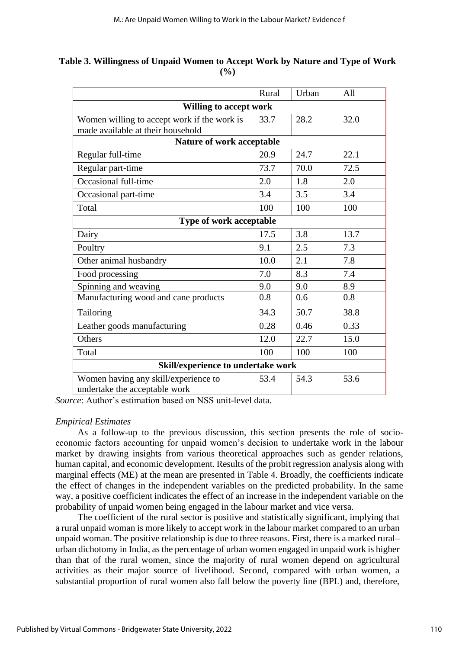|                                             | Rural | Urban | All  |
|---------------------------------------------|-------|-------|------|
| <b>Willing to accept work</b>               |       |       |      |
| Women willing to accept work if the work is | 33.7  | 28.2  | 32.0 |
| made available at their household           |       |       |      |
| Nature of work acceptable                   |       |       |      |
| Regular full-time                           | 20.9  | 24.7  | 22.1 |
| Regular part-time                           | 73.7  | 70.0  | 72.5 |
| Occasional full-time                        | 2.0   | 1.8   | 2.0  |
| Occasional part-time                        | 3.4   | 3.5   | 3.4  |
| Total                                       | 100   | 100   | 100  |
| <b>Type of work acceptable</b>              |       |       |      |
| Dairy                                       | 17.5  | 3.8   | 13.7 |
| Poultry                                     | 9.1   | 2.5   | 7.3  |
| Other animal husbandry                      | 10.0  | 2.1   | 7.8  |
| Food processing                             | 7.0   | 8.3   | 7.4  |
| Spinning and weaving                        | 9.0   | 9.0   | 8.9  |
| Manufacturing wood and cane products        | 0.8   | 0.6   | 0.8  |
| Tailoring                                   | 34.3  | 50.7  | 38.8 |
| Leather goods manufacturing                 | 0.28  | 0.46  | 0.33 |
| Others                                      | 12.0  | 22.7  | 15.0 |
| Total                                       | 100   | 100   | 100  |
| Skill/experience to undertake work          |       |       |      |

**Table 3. Willingness of Unpaid Women to Accept Work by Nature and Type of Work (%)**

*Source*: Author's estimation based on NSS unit-level data.

Women having any skill/experience to

undertake the acceptable work

#### *Empirical Estimates*

As a follow-up to the previous discussion, this section presents the role of socioeconomic factors accounting for unpaid women's decision to undertake work in the labour market by drawing insights from various theoretical approaches such as gender relations, human capital, and economic development. Results of the probit regression analysis along with marginal effects (ME) at the mean are presented in Table 4. Broadly, the coefficients indicate the effect of changes in the independent variables on the predicted probability. In the same way, a positive coefficient indicates the effect of an increase in the independent variable on the probability of unpaid women being engaged in the labour market and vice versa.

53.4 54.3 53.6

The coefficient of the rural sector is positive and statistically significant, implying that a rural unpaid woman is more likely to accept work in the labour market compared to an urban unpaid woman. The positive relationship is due to three reasons. First, there is a marked rural– urban dichotomy in India, as the percentage of urban women engaged in unpaid work is higher than that of the rural women, since the majority of rural women depend on agricultural activities as their major source of livelihood. Second, compared with urban women, a substantial proportion of rural women also fall below the poverty line (BPL) and, therefore,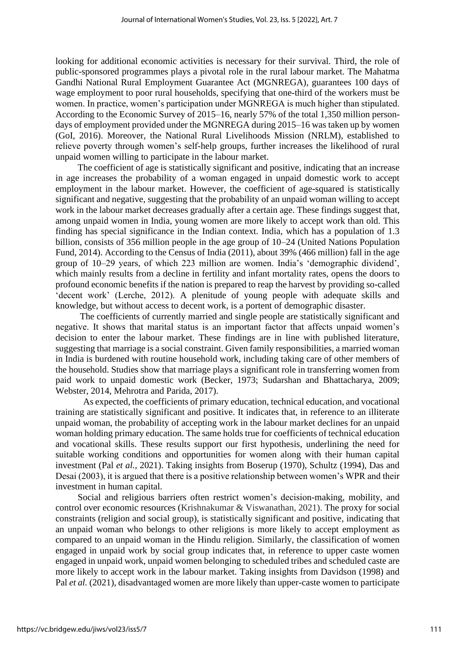looking for additional economic activities is necessary for their survival. Third, the role of public-sponsored programmes plays a pivotal role in the rural labour market. The Mahatma Gandhi National Rural Employment Guarantee Act (MGNREGA), guarantees 100 days of wage employment to poor rural households, specifying that one-third of the workers must be women. In practice, women's participation under MGNREGA is much higher than stipulated. According to the Economic Survey of 2015–16, nearly 57% of the total 1,350 million persondays of employment provided under the MGNREGA during 2015–16 was taken up by women (GoI, 2016). Moreover, the National Rural Livelihoods Mission (NRLM), established to relieve poverty through women's self-help groups, further increases the likelihood of rural unpaid women willing to participate in the labour market.

The coefficient of age is statistically significant and positive, indicating that an increase in age increases the probability of a woman engaged in unpaid domestic work to accept employment in the labour market. However, the coefficient of age-squared is statistically significant and negative, suggesting that the probability of an unpaid woman willing to accept work in the labour market decreases gradually after a certain age. These findings suggest that, among unpaid women in India, young women are more likely to accept work than old. This finding has special significance in the Indian context. India, which has a population of 1.3 billion, consists of 356 million people in the age group of 10–24 (United Nations Population Fund, 2014). According to the Census of India (2011), about 39% (466 million) fall in the age group of 10–29 years, of which 223 million are women. India's 'demographic dividend', which mainly results from a decline in fertility and infant mortality rates, opens the doors to profound economic benefits if the nation is prepared to reap the harvest by providing so-called 'decent work' (Lerche, 2012). A plenitude of young people with adequate skills and knowledge, but without access to decent work, is a portent of demographic disaster.

The coefficients of currently married and single people are statistically significant and negative. It shows that marital status is an important factor that affects unpaid women's decision to enter the labour market. These findings are in line with published literature, suggesting that marriage is a social constraint. Given family responsibilities, a married woman in India is burdened with routine household work, including taking care of other members of the household. Studies show that marriage plays a significant role in transferring women from paid work to unpaid domestic work (Becker, 1973; Sudarshan and Bhattacharya, 2009; Webster, 2014, Mehrotra and Parida, 2017).

As expected, the coefficients of primary education, technical education, and vocational training are statistically significant and positive. It indicates that, in reference to an illiterate unpaid woman, the probability of accepting work in the labour market declines for an unpaid woman holding primary education. The same holds true for coefficients of technical education and vocational skills. These results support our first hypothesis, underlining the need for suitable working conditions and opportunities for women along with their human capital investment (Pal *et al.*, 2021). Taking insights from Boserup (1970), Schultz (1994), Das and Desai (2003), it is argued that there is a positive relationship between women's WPR and their investment in human capital.

Social and religious barriers often restrict women's decision-making, mobility, and control over economic resources (Krishnakumar & Viswanathan, 2021). The proxy for social constraints (religion and social group), is statistically significant and positive, indicating that an unpaid woman who belongs to other religions is more likely to accept employment as compared to an unpaid woman in the Hindu religion. Similarly, the classification of women engaged in unpaid work by social group indicates that, in reference to upper caste women engaged in unpaid work, unpaid women belonging to scheduled tribes and scheduled caste are more likely to accept work in the labour market. Taking insights from Davidson (1998) and Pal *et al.* (2021), disadvantaged women are more likely than upper-caste women to participate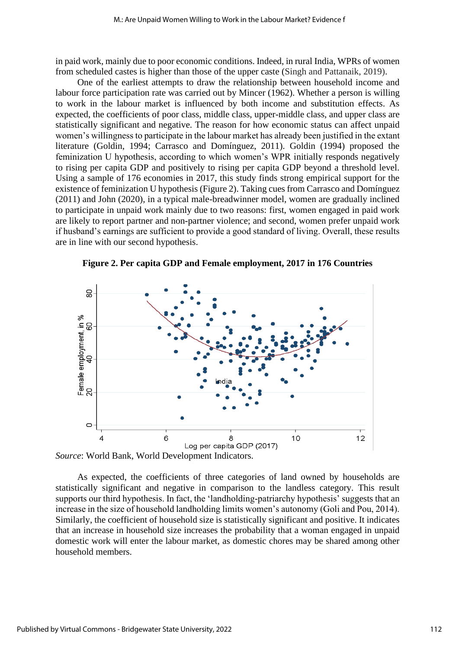in paid work, mainly due to poor economic conditions. Indeed, in rural India, WPRs of women from scheduled castes is higher than those of the upper caste (Singh and Pattanaik, 2019).

One of the earliest attempts to draw the relationship between household income and labour force participation rate was carried out by Mincer (1962). Whether a person is willing to work in the labour market is influenced by both income and substitution effects. As expected, the coefficients of poor class, middle class, upper-middle class, and upper class are statistically significant and negative. The reason for how economic status can affect unpaid women's willingness to participate in the labour market has already been justified in the extant literature (Goldin, 1994; Carrasco and Domínguez, 2011). Goldin (1994) proposed the feminization U hypothesis, according to which women's WPR initially responds negatively to rising per capita GDP and positively to rising per capita GDP beyond a threshold level. Using a sample of 176 economies in 2017, this study finds strong empirical support for the existence of feminization U hypothesis (Figure 2). Taking cues from Carrasco and Domínguez (2011) and John (2020), in a typical male-breadwinner model, women are gradually inclined to participate in unpaid work mainly due to two reasons: first, women engaged in paid work are likely to report partner and non-partner violence; and second, women prefer unpaid work if husband's earnings are sufficient to provide a good standard of living. Overall, these results are in line with our second hypothesis.



**Figure 2. Per capita GDP and Female employment, 2017 in 176 Countries**

*Source*: World Bank, World Development Indicators.

As expected, the coefficients of three categories of land owned by households are statistically significant and negative in comparison to the landless category. This result supports our third hypothesis. In fact, the 'landholding-patriarchy hypothesis' suggests that an increase in the size of household landholding limits women's autonomy (Goli and Pou, 2014). Similarly, the coefficient of household size is statistically significant and positive. It indicates that an increase in household size increases the probability that a woman engaged in unpaid domestic work will enter the labour market, as domestic chores may be shared among other household members.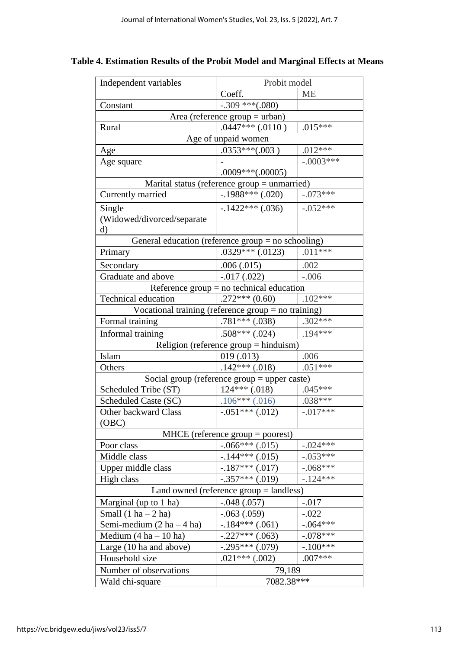### **Table 4. Estimation Results of the Probit Model and Marginal Effects at Means**

| Independent variables                                   | Probit model                                 |             |  |  |
|---------------------------------------------------------|----------------------------------------------|-------------|--|--|
|                                                         | Coeff.                                       | <b>ME</b>   |  |  |
| Constant                                                | $-.309$ ***(.080)                            |             |  |  |
| Area (reference $group = urban$ )                       |                                              |             |  |  |
| Rural                                                   | $.0447***$ $(.0110)$                         | $.015***$   |  |  |
|                                                         | Age of unpaid women                          |             |  |  |
| Age                                                     | $.0353***(.003)$                             | $.012***$   |  |  |
| Age square                                              |                                              | $-.0003***$ |  |  |
|                                                         | $.0009***(.00005)$                           |             |  |  |
|                                                         | Marital status (reference group = unmarried) |             |  |  |
| Currently married                                       | $-.1988***$ (.020)                           | $-.073***$  |  |  |
| Single                                                  | $-.1422***(.036)$                            | $-.052***$  |  |  |
| (Widowed/divorced/separate                              |                                              |             |  |  |
| d)                                                      |                                              |             |  |  |
| General education (reference group = no schooling)      |                                              |             |  |  |
| Primary                                                 | $.0329***(.0123)$                            | $.011***$   |  |  |
| Secondary                                               | .006(.015)                                   | .002        |  |  |
| Graduate and above                                      | $-.017(.022)$                                | $-.006$     |  |  |
|                                                         | Reference $group = no technical education$   |             |  |  |
| <b>Technical education</b>                              | $.272***(0.60)$                              | $.102***$   |  |  |
| Vocational training (reference $group = no training)$ ) |                                              |             |  |  |
| Formal training                                         | $.781***(.038)$                              | $.302***$   |  |  |
| Informal training                                       | $.508***(.024)$                              | $.194***$   |  |  |
|                                                         | Religion (reference $group = hinduism)$      |             |  |  |
| Islam                                                   | 019(.013)                                    | .006        |  |  |
| Others                                                  | $.142***(.018)$                              | $.051***$   |  |  |
|                                                         | Social group (reference group = upper caste) |             |  |  |
| Scheduled Tribe (ST)                                    | $124***$ (.018)                              | $.045***$   |  |  |
| Scheduled Caste (SC)                                    | $.106***(.016)$                              | $.038***$   |  |  |
| <b>Other backward Class</b>                             | $-.051***(.012)$                             | $-.017***$  |  |  |
| (OBC)                                                   |                                              |             |  |  |
|                                                         | $MHCE$ (reference group = poorest)           |             |  |  |
| Poor class                                              | $-.066***(.015)$                             | $-.024***$  |  |  |
| Middle class                                            | $-.144***(.015)$                             | $-.053***$  |  |  |
| Upper middle class                                      | $-.187***(.017)$                             | $-.068***$  |  |  |
| High class                                              | $-.357***$ (.019)                            | $-.124***$  |  |  |
| Land owned (reference $group = landss)$ )               |                                              |             |  |  |
| Marginal (up to 1 ha)                                   | $-.048(.057)$                                | $-.017$     |  |  |
| Small $(1 ha - 2 ha)$                                   | $-.063(.059)$                                | $-.022$     |  |  |
| Semi-medium $(2 ha - 4 ha)$                             | $-.184***(.061)$                             | $-.064***$  |  |  |
| Medium $(4 ha - 10 ha)$                                 | $-.227***$ (.063)                            | $-.078***$  |  |  |
| Large (10 ha and above)                                 | $-.295***(.079)$                             | $-100***$   |  |  |
| Household size                                          | $.021***(.002)$                              | $.007***$   |  |  |
| Number of observations                                  | 79,189                                       |             |  |  |
| Wald chi-square                                         | 7082.38***                                   |             |  |  |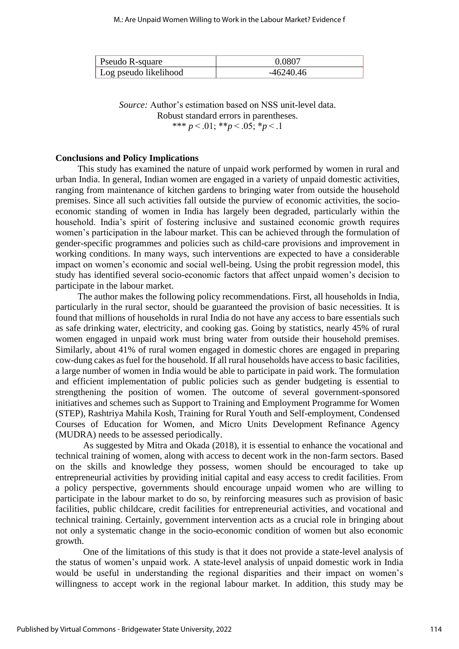| Pseudo R-square       | 0.0807    |
|-----------------------|-----------|
| Log pseudo likelihood | -46240.46 |

*Source:* Author's estimation based on NSS unit-level data. Robust standard errors in parentheses. \*\*\* *p* < .01; \*\**p* < .05; \**p* < .1

#### **Conclusions and Policy Implications**

This study has examined the nature of unpaid work performed by women in rural and urban India. In general, Indian women are engaged in a variety of unpaid domestic activities, ranging from maintenance of kitchen gardens to bringing water from outside the household premises. Since all such activities fall outside the purview of economic activities, the socioeconomic standing of women in India has largely been degraded, particularly within the household. India's spirit of fostering inclusive and sustained economic growth requires women's participation in the labour market. This can be achieved through the formulation of gender-specific programmes and policies such as child-care provisions and improvement in working conditions. In many ways, such interventions are expected to have a considerable impact on women's economic and social well-being. Using the probit regression model, this study has identified several socio-economic factors that affect unpaid women's decision to participate in the labour market.

The author makes the following policy recommendations. First, all households in India, particularly in the rural sector, should be guaranteed the provision of basic necessities. It is found that millions of households in rural India do not have any access to bare essentials such as safe drinking water, electricity, and cooking gas. Going by statistics, nearly 45% of rural women engaged in unpaid work must bring water from outside their household premises. Similarly, about 41% of rural women engaged in domestic chores are engaged in preparing cow-dung cakes as fuel for the household. If all rural households have access to basic facilities, a large number of women in India would be able to participate in paid work. The formulation and efficient implementation of public policies such as gender budgeting is essential to strengthening the position of women. The outcome of several government-sponsored initiatives and schemes such as Support to Training and Employment Programme for Women (STEP), Rashtriya Mahila Kosh, Training for Rural Youth and Self-employment, Condensed Courses of Education for Women, and Micro Units Development Refinance Agency (MUDRA) needs to be assessed periodically.

As suggested by Mitra and Okada (2018), it is essential to enhance the vocational and technical training of women, along with access to decent work in the non-farm sectors. Based on the skills and knowledge they possess, women should be encouraged to take up entrepreneurial activities by providing initial capital and easy access to credit facilities. From a policy perspective, governments should encourage unpaid women who are willing to participate in the labour market to do so, by reinforcing measures such as provision of basic facilities, public childcare, credit facilities for entrepreneurial activities, and vocational and technical training. Certainly, government intervention acts as a crucial role in bringing about not only a systematic change in the socio-economic condition of women but also economic growth.

One of the limitations of this study is that it does not provide a state-level analysis of the status of women's unpaid work. A state-level analysis of unpaid domestic work in India would be useful in understanding the regional disparities and their impact on women's willingness to accept work in the regional labour market. In addition, this study may be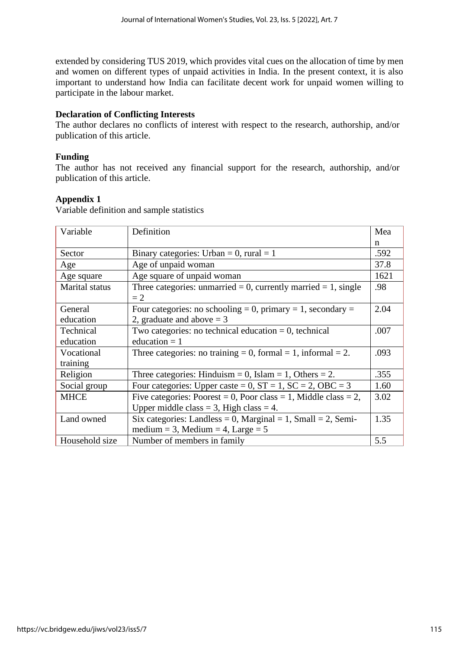extended by considering TUS 2019, which provides vital cues on the allocation of time by men and women on different types of unpaid activities in India. In the present context, it is also important to understand how India can facilitate decent work for unpaid women willing to participate in the labour market.

#### **Declaration of Conflicting Interests**

The author declares no conflicts of interest with respect to the research, authorship, and/or publication of this article.

#### **Funding**

The author has not received any financial support for the research, authorship, and/or publication of this article.

#### **Appendix 1**

Variable definition and sample statistics

| Variable              | Definition                                                             | Mea  |
|-----------------------|------------------------------------------------------------------------|------|
|                       |                                                                        | n    |
| Sector                | Binary categories: Urban = 0, rural = 1                                | .592 |
| Age                   | Age of unpaid woman                                                    | 37.8 |
| Age square            | Age square of unpaid woman                                             | 1621 |
| <b>Marital</b> status | Three categories: unmarried = 0, currently married = 1, single<br>$=2$ | .98  |
| General               | Four categories: no schooling = 0, primary = 1, secondary =            | 2.04 |
| education             | 2, graduate and above $=$ 3                                            |      |
| Technical             | Two categories: no technical education $= 0$ , technical               | .007 |
| education             | education $= 1$                                                        |      |
| Vocational            | Three categories: no training = 0, formal = 1, informal = 2.           | .093 |
| training              |                                                                        |      |
| Religion              | Three categories: Hinduism = 0, Islam = 1, Others = 2.                 | .355 |
| Social group          | Four categories: Upper caste = 0, $ST = 1$ , $SC = 2$ , $OBC = 3$      | 1.60 |
| <b>MHCE</b>           | Five categories: Poorest = 0, Poor class = 1, Middle class = 2,        | 3.02 |
|                       | Upper middle class = 3, High class = 4.                                |      |
| Land owned            | Six categories: Landless = 0, Marginal = 1, Small = 2, Semi-           | 1.35 |
|                       | medium = 3, Medium = 4, Large = $5$                                    |      |
| Household size        | Number of members in family                                            | 5.5  |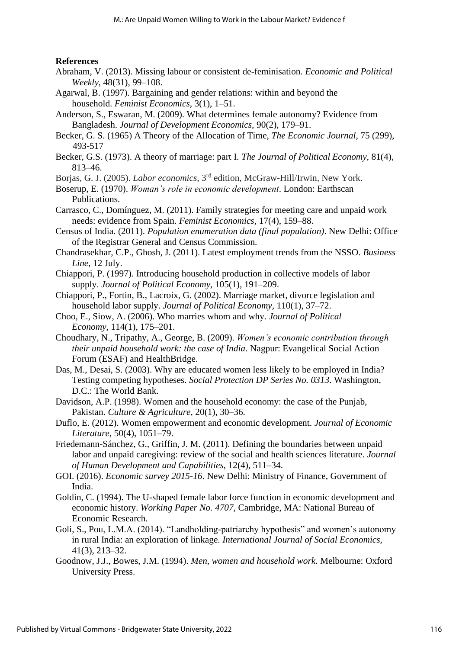#### **References**

- Abraham, V. (2013). Missing labour or consistent de-feminisation. *Economic and Political Weekly,* 48(31), 99–108.
- Agarwal, B. (1997). Bargaining and gender relations: within and beyond the household. *Feminist Economics,* 3(1), 1–51.
- Anderson, S., Eswaran, M. (2009). What determines female autonomy? Evidence from Bangladesh. *Journal of Development Economics,* 90(2), 179–91.
- Becker, G. S. (1965) A Theory of the Allocation of Time, *The Economic Journal*, 75 (299), 493-517
- Becker, G.S. (1973). A theory of marriage: part I. *The Journal of Political Economy,* 81(4), 813–46.
- Borjas, G. J. (2005). *Labor economics*, 3rd edition, McGraw-Hill/Irwin, New York.
- Boserup, E. (1970). *Woman's role in economic development*. London: Earthscan Publications.
- Carrasco, C., Domínguez, M. (2011). Family strategies for meeting care and unpaid work needs: evidence from Spain. *Feminist Economics,* 17(4), 159–88.
- Census of India. (2011). *Population enumeration data (final population)*. New Delhi: Office of the Registrar General and Census Commission.
- Chandrasekhar, C.P., Ghosh, J. (2011). Latest employment trends from the NSSO. *Business Line,* 12 July.
- Chiappori, P. (1997). Introducing household production in collective models of labor supply. *Journal of Political Economy,* 105(1), 191–209.
- Chiappori, P., Fortin, B., Lacroix, G. (2002). Marriage market, divorce legislation and household labor supply. *Journal of Political Economy,* 110(1), 37–72.
- Choo, E., Siow, A. (2006). Who marries whom and why. *Journal of Political Economy,* 114(1), 175–201.
- Choudhary, N., Tripathy, A., George, B. (2009). *Women's economic contribution through their unpaid household work: the case of India*. Nagpur: Evangelical Social Action Forum (ESAF) and HealthBridge.
- Das, M., Desai, S. (2003). Why are educated women less likely to be employed in India? Testing competing hypotheses. *Social Protection DP Series No. 0313*. Washington, D.C.: The World Bank.
- Davidson, A.P. (1998). Women and the household economy: the case of the Punjab, Pakistan. *Culture & Agriculture,* 20(1), 30–36.
- Duflo, E. (2012). Women empowerment and economic development. *Journal of Economic Literature,* 50(4), 1051–79.
- Friedemann-Sánchez, G., Griffin, J. M. (2011). Defining the boundaries between unpaid labor and unpaid caregiving: review of the social and health sciences literature. *Journal of Human Development and Capabilities,* 12(4), 511–34.
- GOI. (2016). *Economic survey 2015-16*. New Delhi: Ministry of Finance, Government of India.
- Goldin, C. (1994). The U-shaped female labor force function in economic development and economic history. *Working Paper No. 4707*, Cambridge, MA: National Bureau of Economic Research.
- Goli, S., Pou, L.M.A. (2014). "Landholding-patriarchy hypothesis" and women's autonomy in rural India: an exploration of linkage. *International Journal of Social Economics,* 41(3), 213–32.
- Goodnow, J.J., Bowes, J.M. (1994). *Men, women and household work*. Melbourne: Oxford University Press.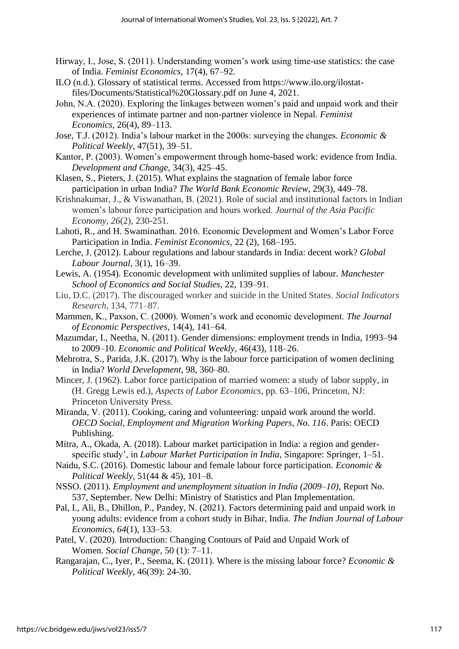- Hirway, I., Jose, S. (2011). Understanding women's work using time-use statistics: the case of India. *Feminist Economics,* 17(4), 67–92.
- ILO (n.d.). Glossary of statistical terms. Accessed from https://www.ilo.org/ilostatfiles/Documents/Statistical%20Glossary.pdf on June 4, 2021.
- John, N.A. (2020). Exploring the linkages between women's paid and unpaid work and their experiences of intimate partner and non-partner violence in Nepal. *Feminist Economics,* 26(4), 89–113.
- Jose, T.J. (2012). India's labour market in the 2000s: surveying the changes. *Economic & Political Weekly,* 47(51), 39–51.
- Kantor, P. (2003). Women's empowerment through home-based work: evidence from India. *Development and Change,* 34(3), 425–45.
- Klasen, S., Pieters, J. (2015). What explains the stagnation of female labor force participation in urban India? *The World Bank Economic Review,* 29(3), 449–78.
- Krishnakumar, J., & Viswanathan, B. (2021). Role of social and institutional factors in Indian women's labour force participation and hours worked. *Journal of the Asia Pacific Economy*, *26*(2), 230-251.
- Lahoti, R., and H. Swaminathan. 2016. Economic Development and Women's Labor Force Participation in India. *Feminist Economics,* 22 (2), 168–195.
- Lerche, J. (2012). Labour regulations and labour standards in India: decent work? *Global Labour Journal,* 3(1), 16–39.
- Lewis, A. (1954). Economic development with unlimited supplies of labour. *Manchester School of Economics and Social Studies,* 22, 139–91.
- Liu, D.C. (2017). The discouraged worker and suicide in the United States. *Social Indicators Research,* 134, 771–87.
- Mammen, K., Paxson, C. (2000). Women's work and economic development. *The Journal of Economic Perspectives,* 14(4), 141–64.
- Mazumdar, I., Neetha, N. (2011). Gender dimensions: employment trends in India, 1993–94 to 2009–10. *Economic and Political Weekly,* 46(43), 118–26.
- Mehrotra, S., Parida, J.K. (2017). Why is the labour force participation of women declining in India? *World Development,* 98, 360–80.
- Mincer, J. (1962). Labor force participation of married women: a study of labor supply, in (H. Gregg Lewis ed.), *Aspects of Labor Economics*, pp. 63–106, Princeton, NJ: Princeton University Press.
- Miranda, V. (2011). Cooking, caring and volunteering: unpaid work around the world. *OECD Social, Employment and Migration Working Papers, No. 116*. Paris: OECD Publishing.
- Mitra, A., Okada, A. (2018). Labour market participation in India: a region and genderspecific study', in *Labour Market Participation in India*, Singapore: Springer, 1–51.
- Naidu, S.C. (2016). Domestic labour and female labour force participation. *Economic & Political Weekly,* 51(44 & 45), 101–8.
- NSSO. (2011). *Employment and unemployment situation in India (2009–10)*, Report No. 537, September. New Delhi: Ministry of Statistics and Plan Implementation.
- Pal, I., Ali, B., Dhillon, P., Pandey, N. (2021). Factors determining paid and unpaid work in young adults: evidence from a cohort study in Bihar, India. *The Indian Journal of Labour Economics*, *64*(1), 133–53.
- Patel, V. (2020). Introduction: Changing Contours of Paid and Unpaid Work of Women. *Social Change,* 50 (1): 7–11.
- Rangarajan, C., Iyer, P., Seema, K. (2011). Where is the missing labour force? *Economic & Political Weekly,* 46(39): 24-30.